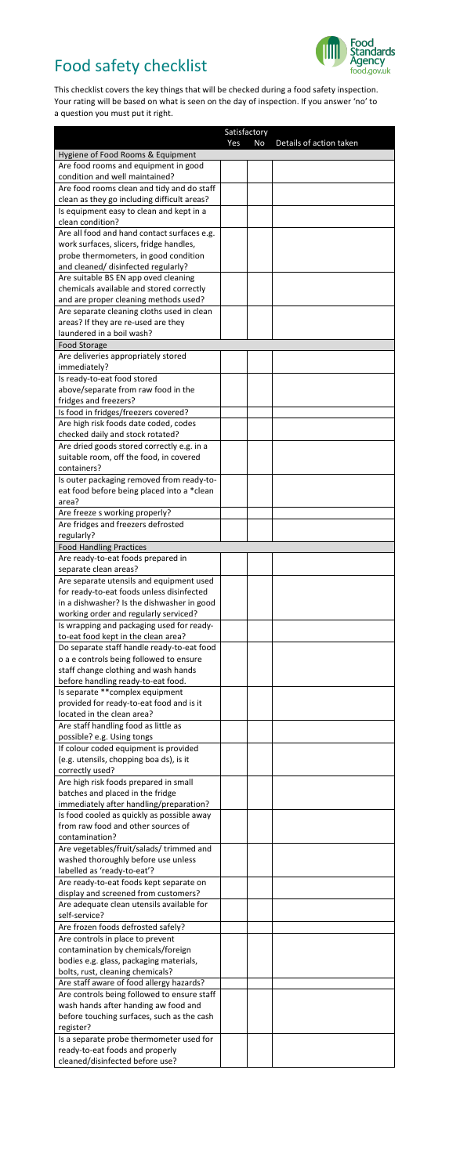## Food safety checklist



 This checklist covers the key things that will be checked during a food safety inspection. Your rating will be based on what is seen on the day of inspection. If you answer 'no' to a question you must put it right.

|                                                                                       | Satisfactory |    |                         |
|---------------------------------------------------------------------------------------|--------------|----|-------------------------|
| Hygiene of Food Rooms & Equipment                                                     | Yes          | No | Details of action taken |
| Are food rooms and equipment in good                                                  |              |    |                         |
| condition and well maintained?                                                        |              |    |                         |
| Are food rooms clean and tidy and do staff                                            |              |    |                         |
| clean as they go including difficult areas?                                           |              |    |                         |
| Is equipment easy to clean and kept in a                                              |              |    |                         |
| clean condition?<br>Are all food and hand contact surfaces e.g.                       |              |    |                         |
| work surfaces, slicers, fridge handles,                                               |              |    |                         |
| probe thermometers, in good condition                                                 |              |    |                         |
| and cleaned/ disinfected regularly?                                                   |              |    |                         |
| Are suitable BS EN app oved cleaning                                                  |              |    |                         |
| chemicals available and stored correctly                                              |              |    |                         |
| and are proper cleaning methods used?                                                 |              |    |                         |
| Are separate cleaning cloths used in clean                                            |              |    |                         |
| areas? If they are re-used are they<br>laundered in a boil wash?                      |              |    |                         |
| <b>Food Storage</b>                                                                   |              |    |                         |
| Are deliveries appropriately stored                                                   |              |    |                         |
| immediately?                                                                          |              |    |                         |
| Is ready-to-eat food stored                                                           |              |    |                         |
| above/separate from raw food in the                                                   |              |    |                         |
| fridges and freezers?                                                                 |              |    |                         |
| Is food in fridges/freezers covered?                                                  |              |    |                         |
| Are high risk foods date coded, codes                                                 |              |    |                         |
| checked daily and stock rotated?                                                      |              |    |                         |
| Are dried goods stored correctly e.g. in a<br>suitable room, off the food, in covered |              |    |                         |
| containers?                                                                           |              |    |                         |
| Is outer packaging removed from ready-to-                                             |              |    |                         |
| eat food before being placed into a *clean                                            |              |    |                         |
| area?                                                                                 |              |    |                         |
| Are freeze s working properly?                                                        |              |    |                         |
| Are fridges and freezers defrosted                                                    |              |    |                         |
| regularly?                                                                            |              |    |                         |
| <b>Food Handling Practices</b>                                                        |              |    |                         |
| Are ready-to-eat foods prepared in                                                    |              |    |                         |
| separate clean areas?                                                                 |              |    |                         |
| Are separate utensils and equipment used<br>for ready-to-eat foods unless disinfected |              |    |                         |
| in a dishwasher? Is the dishwasher in good                                            |              |    |                         |
| working order and regularly serviced?                                                 |              |    |                         |
| Is wrapping and packaging used for ready-                                             |              |    |                         |
| to-eat food kept in the clean area?                                                   |              |    |                         |
| Do separate staff handle ready-to-eat food                                            |              |    |                         |
| o a e controls being followed to ensure                                               |              |    |                         |
| staff change clothing and wash hands                                                  |              |    |                         |
| before handling ready-to-eat food.<br>Is separate ** complex equipment                |              |    |                         |
| provided for ready-to-eat food and is it                                              |              |    |                         |
| located in the clean area?                                                            |              |    |                         |
| Are staff handling food as little as                                                  |              |    |                         |
| possible? e.g. Using tongs                                                            |              |    |                         |
| If colour coded equipment is provided                                                 |              |    |                         |
| (e.g. utensils, chopping boa ds), is it                                               |              |    |                         |
| correctly used?                                                                       |              |    |                         |
| Are high risk foods prepared in small<br>batches and placed in the fridge             |              |    |                         |
| immediately after handling/preparation?                                               |              |    |                         |
| Is food cooled as quickly as possible away                                            |              |    |                         |
| from raw food and other sources of                                                    |              |    |                         |
| contamination?                                                                        |              |    |                         |
| Are vegetables/fruit/salads/trimmed and                                               |              |    |                         |
| washed thoroughly before use unless                                                   |              |    |                         |
| labelled as 'ready-to-eat'?                                                           |              |    |                         |
| Are ready-to-eat foods kept separate on                                               |              |    |                         |
| display and screened from customers?                                                  |              |    |                         |
| Are adequate clean utensils available for<br>self-service?                            |              |    |                         |
| Are frozen foods defrosted safely?                                                    |              |    |                         |
| Are controls in place to prevent                                                      |              |    |                         |
| contamination by chemicals/foreign                                                    |              |    |                         |
| bodies e.g. glass, packaging materials,                                               |              |    |                         |
| bolts, rust, cleaning chemicals?                                                      |              |    |                         |
| Are staff aware of food allergy hazards?                                              |              |    |                         |
| Are controls being followed to ensure staff                                           |              |    |                         |
| wash hands after handing aw food and                                                  |              |    |                         |
| before touching surfaces, such as the cash<br>register?                               |              |    |                         |
| Is a separate probe thermometer used for                                              |              |    |                         |
| ready-to-eat foods and properly                                                       |              |    |                         |
| cleaned/disinfected before use?                                                       |              |    |                         |